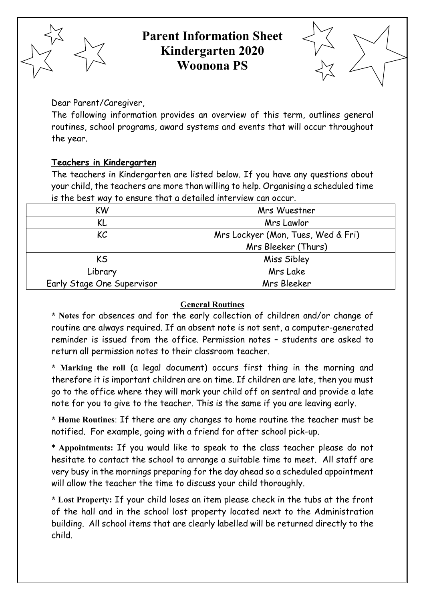

# **Parent Information Sheet Kindergarten 2020 Woonona PS**



Dear Parent/Caregiver,

The following information provides an overview of this term, outlines general routines, school programs, award systems and events that will occur throughout the year.

# **Teachers in Kindergarten**

The teachers in Kindergarten are listed below. If you have any questions about your child, the teachers are more than willing to help. Organising a scheduled time is the best way to ensure that a detailed interview can occur.

| KW                                       | Mrs Wuestner        |  |  |  |
|------------------------------------------|---------------------|--|--|--|
| KL                                       | Mrs Lawlor          |  |  |  |
| KC<br>Mrs Lockyer (Mon, Tues, Wed & Fri) |                     |  |  |  |
|                                          | Mrs Bleeker (Thurs) |  |  |  |
| KS.                                      | Miss Sibley         |  |  |  |
| Library                                  | Mrs Lake            |  |  |  |
| Early Stage One Supervisor               | Mrs Bleeker         |  |  |  |

# **General Routines**

**\* Notes** for absences and for the early collection of children and/or change of routine are always required. If an absent note is not sent, a computer-generated reminder is issued from the office. Permission notes – students are asked to return all permission notes to their classroom teacher.

**\* Marking the roll** (a legal document) occurs first thing in the morning and therefore it is important children are on time. If children are late, then you must go to the office where they will mark your child off on sentral and provide a late note for you to give to the teacher. This is the same if you are leaving early.

**\* Home Routines**: If there are any changes to home routine the teacher must be notified. For example, going with a friend for after school pick-up.

**\* Appointments:** If you would like to speak to the class teacher please do not hesitate to contact the school to arrange a suitable time to meet. All staff are very busy in the mornings preparing for the day ahead so a scheduled appointment will allow the teacher the time to discuss your child thoroughly.

**\* Lost Property:** If your child loses an item please check in the tubs at the front of the hall and in the school lost property located next to the Administration building. All school items that are clearly labelled will be returned directly to the child.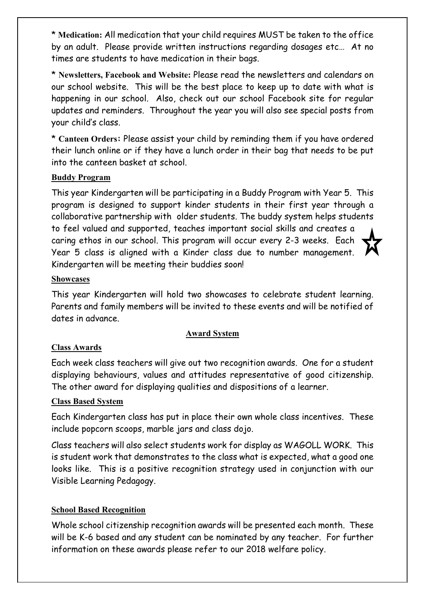\* **Medication:** All medication that your child requires MUST be taken to the office by an adult. Please provide written instructions regarding dosages etc… At no times are students to have medication in their bags.

\* **Newsletters, Facebook and Website:** Please read the newsletters and calendars on our school website. This will be the best place to keep up to date with what is happening in our school. Also, check out our school Facebook site for regular updates and reminders. Throughout the year you will also see special posts from your child's class.

\* **Canteen Orders:** Please assist your child by reminding them if you have ordered their lunch online or if they have a lunch order in their bag that needs to be put into the canteen basket at school.

# **Buddy Program**

This year Kindergarten will be participating in a Buddy Program with Year 5. This program is designed to support kinder students in their first year through a collaborative partnership with older students. The buddy system helps students to feel valued and supported, teaches important social skills and creates a caring ethos in our school. This program will occur every 2-3 weeks. Each Year 5 class is aligned with a Kinder class due to number management. Kindergarten will be meeting their buddies soon!

#### **Showcases**

This year Kindergarten will hold two showcases to celebrate student learning. Parents and family members will be invited to these events and will be notified of dates in advance.

#### **Award System**

#### **Class Awards**

Each week class teachers will give out two recognition awards. One for a student displaying behaviours, values and attitudes representative of good citizenship. The other award for displaying qualities and dispositions of a learner.

#### **Class Based System**

Each Kindergarten class has put in place their own whole class incentives. These include popcorn scoops, marble jars and class dojo.

Class teachers will also select students work for display as WAGOLL WORK. This is student work that demonstrates to the class what is expected, what a good one looks like. This is a positive recognition strategy used in conjunction with our Visible Learning Pedagogy.

#### **School Based Recognition**

Whole school citizenship recognition awards will be presented each month. These will be K-6 based and any student can be nominated by any teacher. For further information on these awards please refer to our 2018 welfare policy.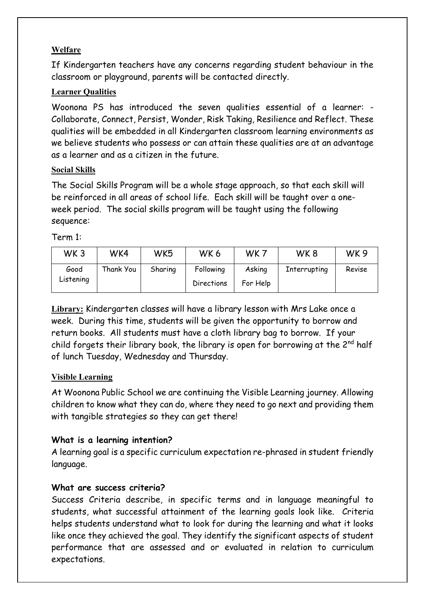# **Welfare**

If Kindergarten teachers have any concerns regarding student behaviour in the classroom or playground, parents will be contacted directly.

# **Learner Qualities**

Woonona PS has introduced the seven qualities essential of a learner: - Collaborate, Connect, Persist, Wonder, Risk Taking, Resilience and Reflect. These qualities will be embedded in all Kindergarten classroom learning environments as we believe students who possess or can attain these qualities are at an advantage as a learner and as a citizen in the future.

#### **Social Skills**

The Social Skills Program will be a whole stage approach, so that each skill will be reinforced in all areas of school life. Each skill will be taught over a oneweek period. The social skills program will be taught using the following sequence:

#### Term 1:

| WK <sub>3</sub>   | WK4       | WK5     | WK6                     | WK7                | WK8          | WK <sub>9</sub> |
|-------------------|-----------|---------|-------------------------|--------------------|--------------|-----------------|
| Good<br>Listening | Thank You | Sharing | Following<br>Directions | Asking<br>For Help | Interrupting | Revise          |

**Library:** Kindergarten classes will have a library lesson with Mrs Lake once a week. During this time, students will be given the opportunity to borrow and return books. All students must have a cloth library bag to borrow. If your child forgets their library book, the library is open for borrowing at the  $2^{nd}$  half of lunch Tuesday, Wednesday and Thursday.

#### **Visible Learning**

At Woonona Public School we are continuing the Visible Learning journey. Allowing children to know what they can do, where they need to go next and providing them with tangible strategies so they can get there!

#### **What is a learning intention?**

A learning goal is a specific curriculum expectation re-phrased in student friendly language.

#### **What are success criteria?**

Success Criteria describe, in specific terms and in language meaningful to students, what successful attainment of the learning goals look like. Criteria helps students understand what to look for during the learning and what it looks like once they achieved the goal. They identify the significant aspects of student performance that are assessed and or evaluated in relation to curriculum expectations.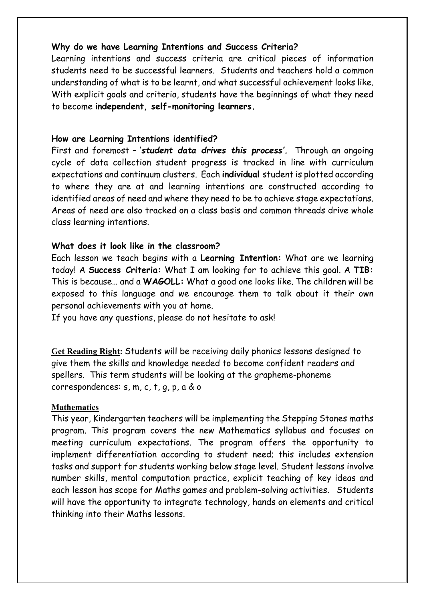#### **Why do we have Learning Intentions and Success Criteria?**

Learning intentions and success criteria are critical pieces of information students need to be successful learners. Students and teachers hold a common understanding of what is to be learnt, and what successful achievement looks like. With explicit goals and criteria, students have the beginnings of what they need to become **independent, self-monitoring learners.**

#### **How are Learning Intentions identified?**

First and foremost – '*student data drives this process'.* Through an ongoing cycle of data collection student progress is tracked in line with curriculum expectations and continuum clusters. Each **individual** student is plotted according to where they are at and learning intentions are constructed according to identified areas of need and where they need to be to achieve stage expectations. Areas of need are also tracked on a class basis and common threads drive whole class learning intentions.

#### **What does it look like in the classroom?**

Each lesson we teach begins with a **Learning Intention:** What are we learning today! A **Success Criteria:** What I am looking for to achieve this goal. A **TIB:** This is because… and a **WAGOLL:** What a good one looks like. The children will be exposed to this language and we encourage them to talk about it their own personal achievements with you at home.

If you have any questions, please do not hesitate to ask!

**Get Reading Right:** Students will be receiving daily phonics lessons designed to give them the skills and knowledge needed to become confident readers and spellers. This term students will be looking at the grapheme-phoneme correspondences: s, m, c, t, g, p, a & o

#### **Mathematics**

This year, Kindergarten teachers will be implementing the Stepping Stones maths program. This program covers the new Mathematics syllabus and focuses on meeting curriculum expectations. The program offers the opportunity to implement differentiation according to student need; this includes extension tasks and support for students working below stage level. Student lessons involve number skills, mental computation practice, explicit teaching of key ideas and each lesson has scope for Maths games and problem-solving activities. Students will have the opportunity to integrate technology, hands on elements and critical thinking into their Maths lessons.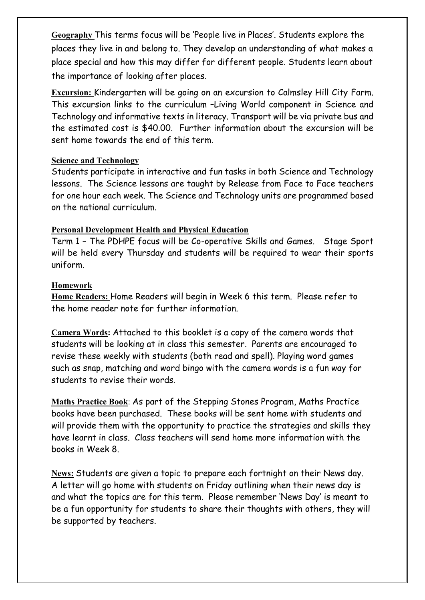**Geography** This terms focus will be 'People live in Places'. Students explore the places they live in and belong to. They develop an understanding of what makes a place special and how this may differ for different people. Students learn about the importance of looking after places.

**Excursion:** Kindergarten will be going on an excursion to Calmsley Hill City Farm. This excursion links to the curriculum –Living World component in Science and Technology and informative texts in literacy. Transport will be via private bus and the estimated cost is \$40.00. Further information about the excursion will be sent home towards the end of this term.

#### **Science and Technology**

Students participate in interactive and fun tasks in both Science and Technology lessons. The Science lessons are taught by Release from Face to Face teachers for one hour each week. The Science and Technology units are programmed based on the national curriculum.

# **Personal Development Health and Physical Education**

Term 1 – The PDHPE focus will be Co-operative Skills and Games. Stage Sport will be held every Thursday and students will be required to wear their sports uniform.

# **Homework**

**Home Readers:** Home Readers will begin in Week 6 this term. Please refer to the home reader note for further information.

**Camera Words:** Attached to this booklet is a copy of the camera words that students will be looking at in class this semester. Parents are encouraged to revise these weekly with students (both read and spell). Playing word games such as snap, matching and word bingo with the camera words is a fun way for students to revise their words.

**Maths Practice Book**: As part of the Stepping Stones Program, Maths Practice books have been purchased. These books will be sent home with students and will provide them with the opportunity to practice the strategies and skills they have learnt in class. Class teachers will send home more information with the books in Week 8.

**News:** Students are given a topic to prepare each fortnight on their News day. A letter will go home with students on Friday outlining when their news day is and what the topics are for this term. Please remember 'News Day' is meant to be a fun opportunity for students to share their thoughts with others, they will be supported by teachers.